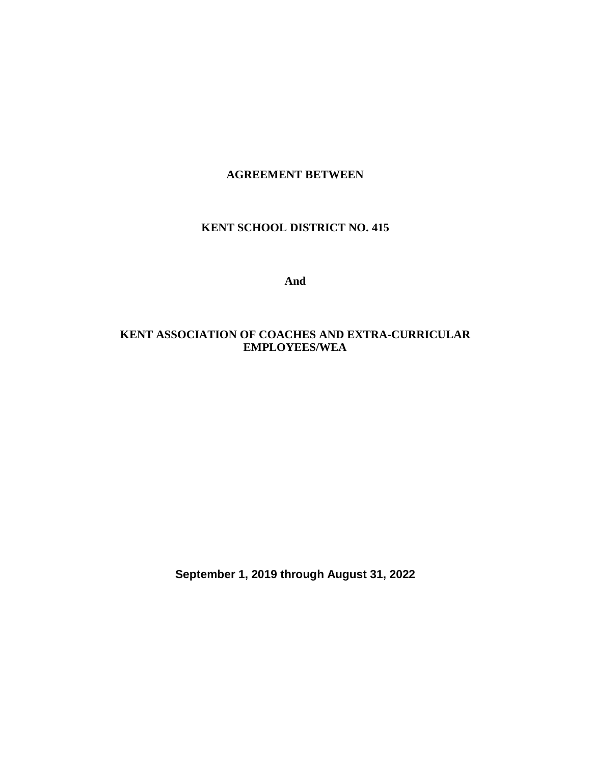#### **AGREEMENT BETWEEN**

#### **KENT SCHOOL DISTRICT NO. 415**

**And**

## **KENT ASSOCIATION OF COACHES AND EXTRA-CURRICULAR EMPLOYEES/WEA**

**September 1, 2019 through August 31, 2022**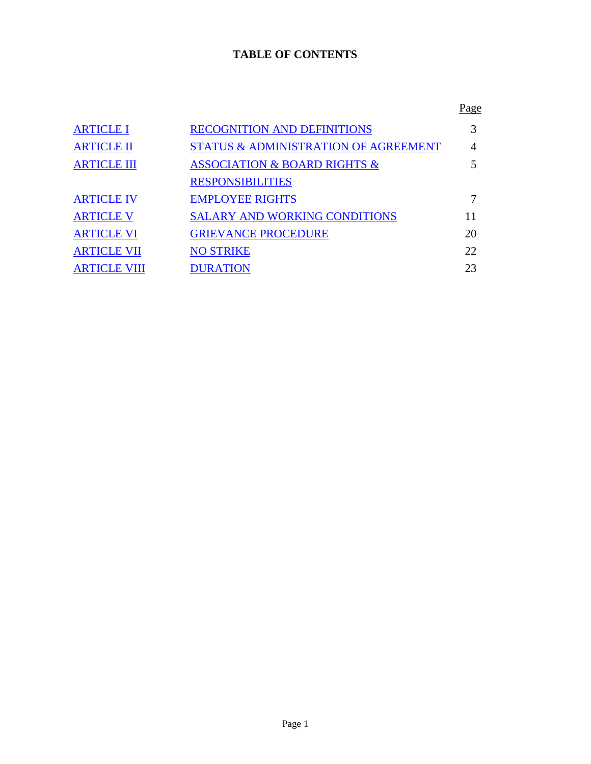# **TABLE OF CONTENTS**

|                     |                                                 | <u>Page</u> |
|---------------------|-------------------------------------------------|-------------|
| <b>ARTICLE I</b>    | <b>RECOGNITION AND DEFINITIONS</b>              |             |
| <b>ARTICLE II</b>   | <b>STATUS &amp; ADMINISTRATION OF AGREEMENT</b> | 4           |
| <b>ARTICLE III</b>  | <b>ASSOCIATION &amp; BOARD RIGHTS &amp;</b>     |             |
|                     | <b>RESPONSIBILITIES</b>                         |             |
| <b>ARTICLE IV</b>   | <b>EMPLOYEE RIGHTS</b>                          |             |
| <b>ARTICLE V</b>    | <b>SALARY AND WORKING CONDITIONS</b>            | 11          |
| <u>ARTICLE VI</u>   | <b>GRIEVANCE PROCEDURE</b>                      | 20          |
| <b>ARTICLE VII</b>  | <b>NO STRIKE</b>                                | 22          |
| <b>ARTICLE VIII</b> | <b>DURATION</b>                                 | 23          |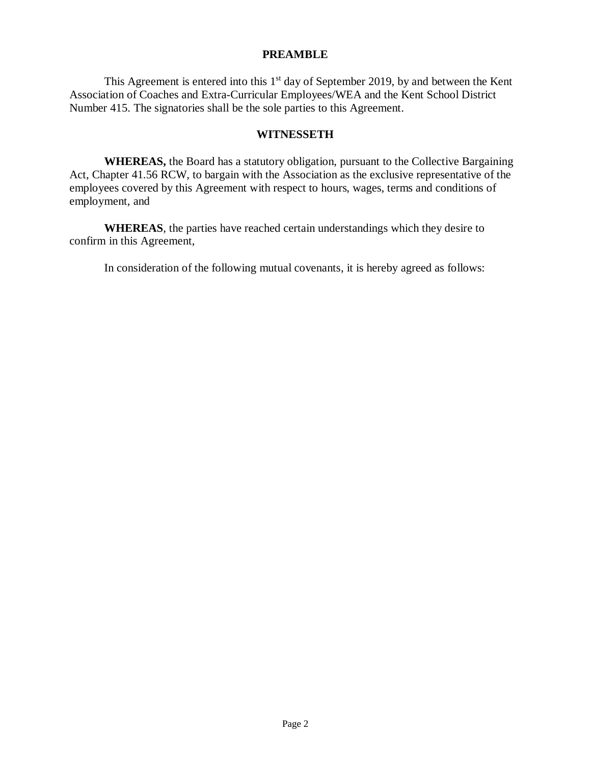#### **PREAMBLE**

This Agreement is entered into this  $1<sup>st</sup>$  day of September 2019, by and between the Kent Association of Coaches and Extra-Curricular Employees/WEA and the Kent School District Number 415. The signatories shall be the sole parties to this Agreement.

#### **WITNESSETH**

**WHEREAS,** the Board has a statutory obligation, pursuant to the Collective Bargaining Act, Chapter 41.56 RCW, to bargain with the Association as the exclusive representative of the employees covered by this Agreement with respect to hours, wages, terms and conditions of employment, and

**WHEREAS**, the parties have reached certain understandings which they desire to confirm in this Agreement,

In consideration of the following mutual covenants, it is hereby agreed as follows: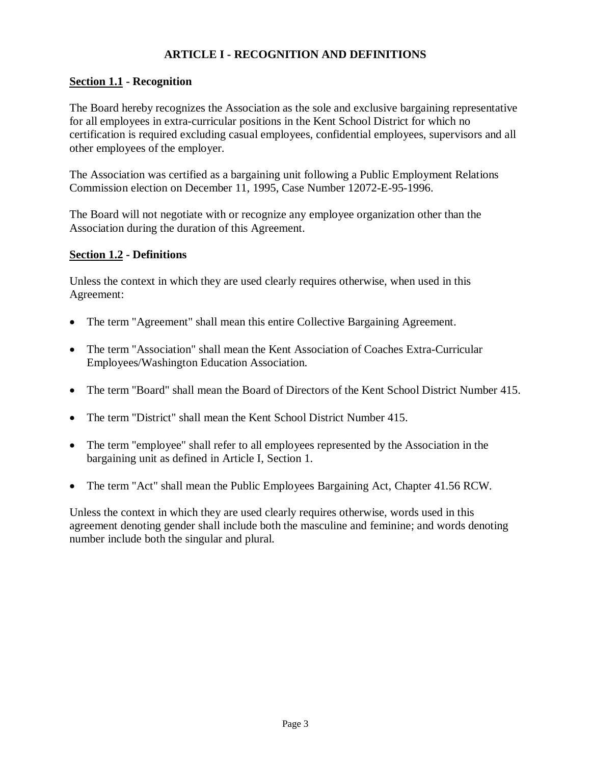## **ARTICLE I - RECOGNITION AND DEFINITIONS**

## <span id="page-3-0"></span>**Section 1.1 - Recognition**

The Board hereby recognizes the Association as the sole and exclusive bargaining representative for all employees in extra-curricular positions in the Kent School District for which no certification is required excluding casual employees, confidential employees, supervisors and all other employees of the employer.

The Association was certified as a bargaining unit following a Public Employment Relations Commission election on December 11, 1995, Case Number 12072-E-95-1996.

The Board will not negotiate with or recognize any employee organization other than the Association during the duration of this Agreement.

#### **Section 1.2 - Definitions**

Unless the context in which they are used clearly requires otherwise, when used in this Agreement:

- The term "Agreement" shall mean this entire Collective Bargaining Agreement.
- The term "Association" shall mean the Kent Association of Coaches Extra-Curricular Employees/Washington Education Association.
- The term "Board" shall mean the Board of Directors of the Kent School District Number 415.
- The term "District" shall mean the Kent School District Number 415.
- The term "employee" shall refer to all employees represented by the Association in the bargaining unit as defined in Article I, Section 1.
- The term "Act" shall mean the Public Employees Bargaining Act, Chapter 41.56 RCW.

Unless the context in which they are used clearly requires otherwise, words used in this agreement denoting gender shall include both the masculine and feminine; and words denoting number include both the singular and plural.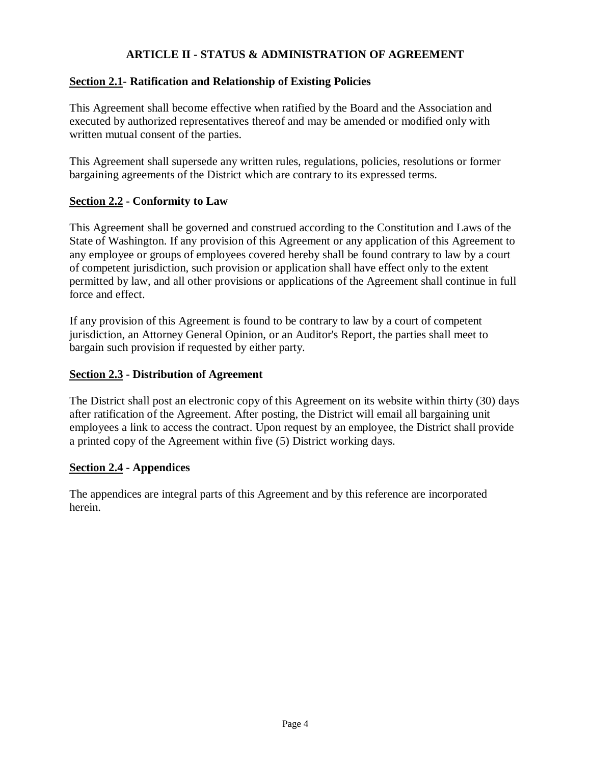## **ARTICLE II - STATUS & ADMINISTRATION OF AGREEMENT**

## <span id="page-4-0"></span>**Section 2.1- Ratification and Relationship of Existing Policies**

This Agreement shall become effective when ratified by the Board and the Association and executed by authorized representatives thereof and may be amended or modified only with written mutual consent of the parties.

This Agreement shall supersede any written rules, regulations, policies, resolutions or former bargaining agreements of the District which are contrary to its expressed terms.

## **Section 2.2 - Conformity to Law**

This Agreement shall be governed and construed according to the Constitution and Laws of the State of Washington. If any provision of this Agreement or any application of this Agreement to any employee or groups of employees covered hereby shall be found contrary to law by a court of competent jurisdiction, such provision or application shall have effect only to the extent permitted by law, and all other provisions or applications of the Agreement shall continue in full force and effect.

If any provision of this Agreement is found to be contrary to law by a court of competent jurisdiction, an Attorney General Opinion, or an Auditor's Report, the parties shall meet to bargain such provision if requested by either party.

## **Section 2.3 - Distribution of Agreement**

The District shall post an electronic copy of this Agreement on its website within thirty (30) days after ratification of the Agreement. After posting, the District will email all bargaining unit employees a link to access the contract. Upon request by an employee, the District shall provide a printed copy of the Agreement within five (5) District working days.

## **Section 2.4 - Appendices**

The appendices are integral parts of this Agreement and by this reference are incorporated herein.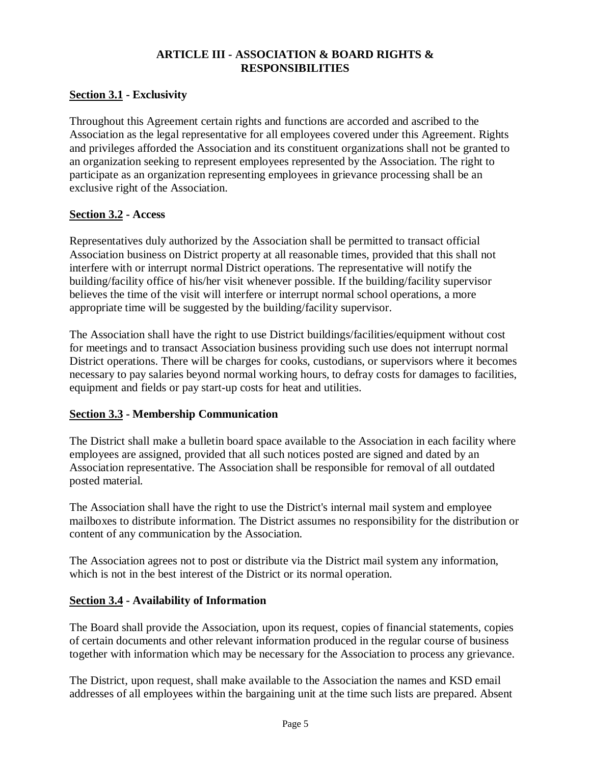## **ARTICLE III - ASSOCIATION & BOARD RIGHTS & RESPONSIBILITIES**

## <span id="page-5-0"></span>**Section 3.1 - Exclusivity**

Throughout this Agreement certain rights and functions are accorded and ascribed to the Association as the legal representative for all employees covered under this Agreement. Rights and privileges afforded the Association and its constituent organizations shall not be granted to an organization seeking to represent employees represented by the Association. The right to participate as an organization representing employees in grievance processing shall be an exclusive right of the Association.

## **Section 3.2 - Access**

Representatives duly authorized by the Association shall be permitted to transact official Association business on District property at all reasonable times, provided that this shall not interfere with or interrupt normal District operations. The representative will notify the building/facility office of his/her visit whenever possible. If the building/facility supervisor believes the time of the visit will interfere or interrupt normal school operations, a more appropriate time will be suggested by the building/facility supervisor.

The Association shall have the right to use District buildings/facilities/equipment without cost for meetings and to transact Association business providing such use does not interrupt normal District operations. There will be charges for cooks, custodians, or supervisors where it becomes necessary to pay salaries beyond normal working hours, to defray costs for damages to facilities, equipment and fields or pay start-up costs for heat and utilities.

## **Section 3.3 - Membership Communication**

The District shall make a bulletin board space available to the Association in each facility where employees are assigned, provided that all such notices posted are signed and dated by an Association representative. The Association shall be responsible for removal of all outdated posted material.

The Association shall have the right to use the District's internal mail system and employee mailboxes to distribute information. The District assumes no responsibility for the distribution or content of any communication by the Association.

The Association agrees not to post or distribute via the District mail system any information, which is not in the best interest of the District or its normal operation.

## **Section 3.4 - Availability of Information**

The Board shall provide the Association, upon its request, copies of financial statements, copies of certain documents and other relevant information produced in the regular course of business together with information which may be necessary for the Association to process any grievance.

The District, upon request, shall make available to the Association the names and KSD email addresses of all employees within the bargaining unit at the time such lists are prepared. Absent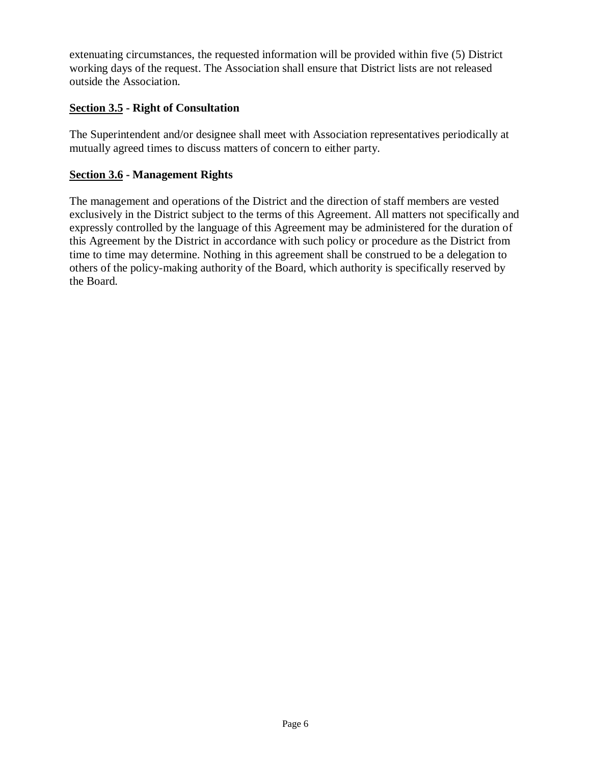extenuating circumstances, the requested information will be provided within five (5) District working days of the request. The Association shall ensure that District lists are not released outside the Association.

## **Section 3.5 - Right of Consultation**

The Superintendent and/or designee shall meet with Association representatives periodically at mutually agreed times to discuss matters of concern to either party.

## **Section 3.6 - Management Rights**

The management and operations of the District and the direction of staff members are vested exclusively in the District subject to the terms of this Agreement. All matters not specifically and expressly controlled by the language of this Agreement may be administered for the duration of this Agreement by the District in accordance with such policy or procedure as the District from time to time may determine. Nothing in this agreement shall be construed to be a delegation to others of the policy-making authority of the Board, which authority is specifically reserved by the Board.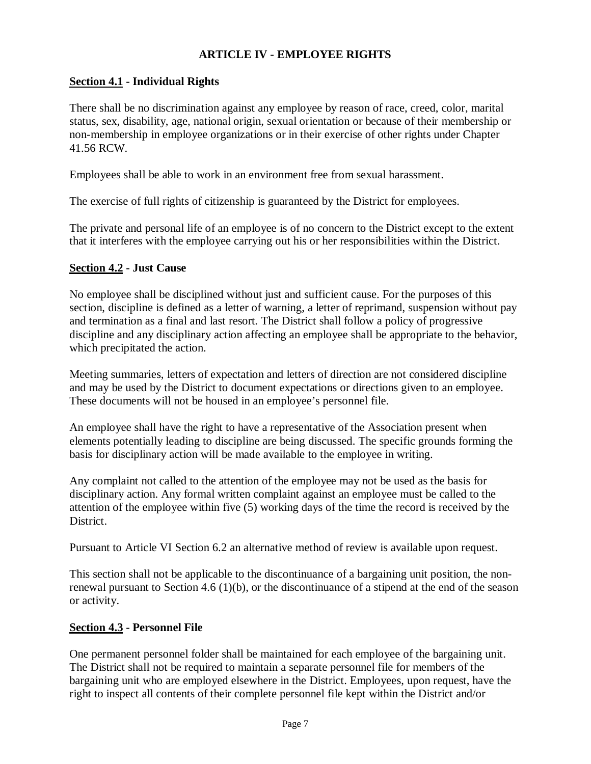## **ARTICLE IV - EMPLOYEE RIGHTS**

## <span id="page-7-0"></span>**Section 4.1 - Individual Rights**

There shall be no discrimination against any employee by reason of race, creed, color, marital status, sex, disability, age, national origin, sexual orientation or because of their membership or non-membership in employee organizations or in their exercise of other rights under Chapter 41.56 RCW.

Employees shall be able to work in an environment free from sexual harassment.

The exercise of full rights of citizenship is guaranteed by the District for employees.

The private and personal life of an employee is of no concern to the District except to the extent that it interferes with the employee carrying out his or her responsibilities within the District.

#### **Section 4.2 - Just Cause**

No employee shall be disciplined without just and sufficient cause. For the purposes of this section, discipline is defined as a letter of warning, a letter of reprimand, suspension without pay and termination as a final and last resort. The District shall follow a policy of progressive discipline and any disciplinary action affecting an employee shall be appropriate to the behavior, which precipitated the action.

Meeting summaries, letters of expectation and letters of direction are not considered discipline and may be used by the District to document expectations or directions given to an employee. These documents will not be housed in an employee's personnel file.

An employee shall have the right to have a representative of the Association present when elements potentially leading to discipline are being discussed. The specific grounds forming the basis for disciplinary action will be made available to the employee in writing.

Any complaint not called to the attention of the employee may not be used as the basis for disciplinary action. Any formal written complaint against an employee must be called to the attention of the employee within five (5) working days of the time the record is received by the District.

Pursuant to Article VI Section 6.2 an alternative method of review is available upon request.

This section shall not be applicable to the discontinuance of a bargaining unit position, the nonrenewal pursuant to Section 4.6 (1)(b), or the discontinuance of a stipend at the end of the season or activity.

## **Section 4.3 - Personnel File**

One permanent personnel folder shall be maintained for each employee of the bargaining unit. The District shall not be required to maintain a separate personnel file for members of the bargaining unit who are employed elsewhere in the District. Employees, upon request, have the right to inspect all contents of their complete personnel file kept within the District and/or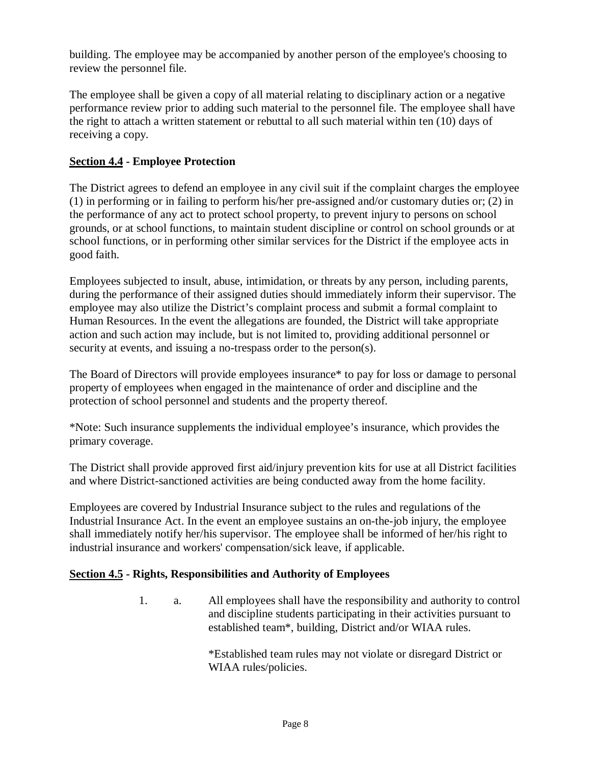building. The employee may be accompanied by another person of the employee's choosing to review the personnel file.

The employee shall be given a copy of all material relating to disciplinary action or a negative performance review prior to adding such material to the personnel file. The employee shall have the right to attach a written statement or rebuttal to all such material within ten (10) days of receiving a copy.

## **Section 4.4 - Employee Protection**

The District agrees to defend an employee in any civil suit if the complaint charges the employee (1) in performing or in failing to perform his/her pre-assigned and/or customary duties or; (2) in the performance of any act to protect school property, to prevent injury to persons on school grounds, or at school functions, to maintain student discipline or control on school grounds or at school functions, or in performing other similar services for the District if the employee acts in good faith.

Employees subjected to insult, abuse, intimidation, or threats by any person, including parents, during the performance of their assigned duties should immediately inform their supervisor. The employee may also utilize the District's complaint process and submit a formal complaint to Human Resources. In the event the allegations are founded, the District will take appropriate action and such action may include, but is not limited to, providing additional personnel or security at events, and issuing a no-trespass order to the person(s).

The Board of Directors will provide employees insurance\* to pay for loss or damage to personal property of employees when engaged in the maintenance of order and discipline and the protection of school personnel and students and the property thereof.

\*Note: Such insurance supplements the individual employee's insurance, which provides the primary coverage.

The District shall provide approved first aid/injury prevention kits for use at all District facilities and where District-sanctioned activities are being conducted away from the home facility.

Employees are covered by Industrial Insurance subject to the rules and regulations of the Industrial Insurance Act. In the event an employee sustains an on-the-job injury, the employee shall immediately notify her/his supervisor. The employee shall be informed of her/his right to industrial insurance and workers' compensation/sick leave, if applicable.

## **Section 4.5 - Rights, Responsibilities and Authority of Employees**

1. a. All employees shall have the responsibility and authority to control and discipline students participating in their activities pursuant to established team\*, building, District and/or WIAA rules.

> \*Established team rules may not violate or disregard District or WIAA rules/policies.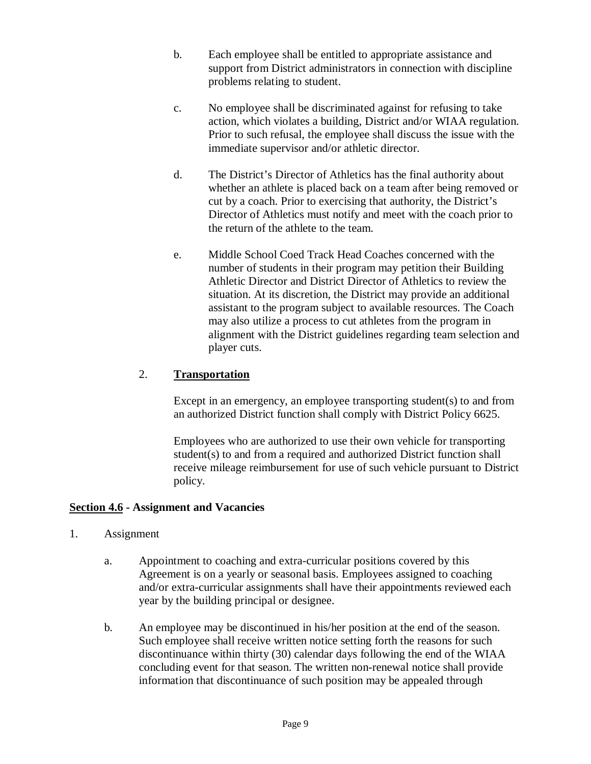- b. Each employee shall be entitled to appropriate assistance and support from District administrators in connection with discipline problems relating to student.
- c. No employee shall be discriminated against for refusing to take action, which violates a building, District and/or WIAA regulation. Prior to such refusal, the employee shall discuss the issue with the immediate supervisor and/or athletic director.
- d. The District's Director of Athletics has the final authority about whether an athlete is placed back on a team after being removed or cut by a coach. Prior to exercising that authority, the District's Director of Athletics must notify and meet with the coach prior to the return of the athlete to the team.
- e. Middle School Coed Track Head Coaches concerned with the number of students in their program may petition their Building Athletic Director and District Director of Athletics to review the situation. At its discretion, the District may provide an additional assistant to the program subject to available resources. The Coach may also utilize a process to cut athletes from the program in alignment with the District guidelines regarding team selection and player cuts.

## 2. **Transportation**

Except in an emergency, an employee transporting student(s) to and from an authorized District function shall comply with District Policy 6625.

Employees who are authorized to use their own vehicle for transporting student(s) to and from a required and authorized District function shall receive mileage reimbursement for use of such vehicle pursuant to District policy.

## **Section 4.6 - Assignment and Vacancies**

- 1. Assignment
	- a. Appointment to coaching and extra-curricular positions covered by this Agreement is on a yearly or seasonal basis. Employees assigned to coaching and/or extra-curricular assignments shall have their appointments reviewed each year by the building principal or designee.
	- b. An employee may be discontinued in his/her position at the end of the season. Such employee shall receive written notice setting forth the reasons for such discontinuance within thirty (30) calendar days following the end of the WIAA concluding event for that season. The written non-renewal notice shall provide information that discontinuance of such position may be appealed through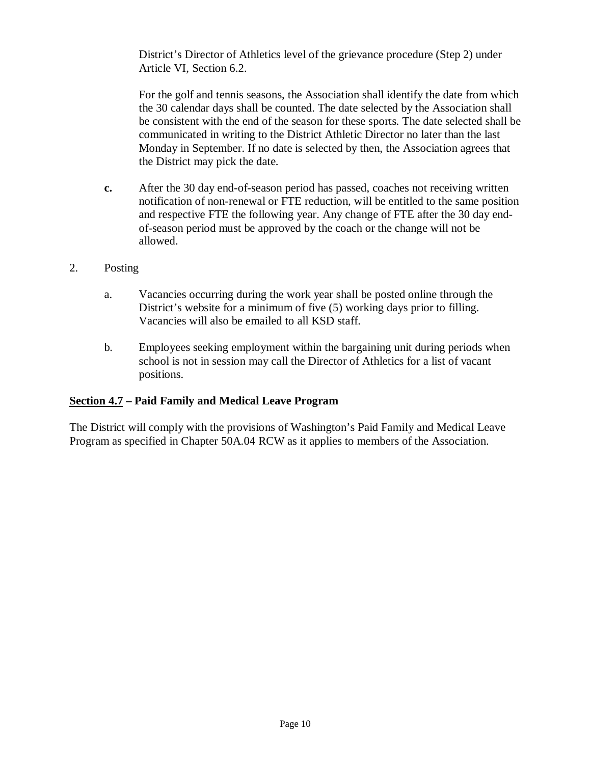District's Director of Athletics level of the grievance procedure (Step 2) under Article VI, Section 6.2.

For the golf and tennis seasons, the Association shall identify the date from which the 30 calendar days shall be counted. The date selected by the Association shall be consistent with the end of the season for these sports. The date selected shall be communicated in writing to the District Athletic Director no later than the last Monday in September. If no date is selected by then, the Association agrees that the District may pick the date.

- **c.** After the 30 day end-of-season period has passed, coaches not receiving written notification of non-renewal or FTE reduction, will be entitled to the same position and respective FTE the following year. Any change of FTE after the 30 day endof-season period must be approved by the coach or the change will not be allowed.
- 2. Posting
	- a. Vacancies occurring during the work year shall be posted online through the District's website for a minimum of five (5) working days prior to filling. Vacancies will also be emailed to all KSD staff.
	- b. Employees seeking employment within the bargaining unit during periods when school is not in session may call the Director of Athletics for a list of vacant positions.

## **Section 4.7 – Paid Family and Medical Leave Program**

The District will comply with the provisions of Washington's Paid Family and Medical Leave Program as specified in Chapter 50A.04 RCW as it applies to members of the Association.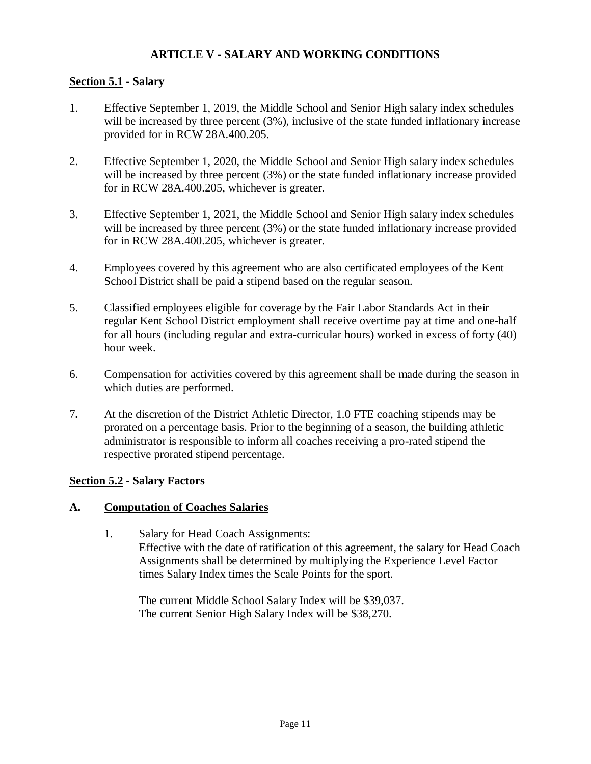## **ARTICLE V - SALARY AND WORKING CONDITIONS**

## <span id="page-11-0"></span>**Section 5.1 - Salary**

- 1. Effective September 1, 2019, the Middle School and Senior High salary index schedules will be increased by three percent (3%), inclusive of the state funded inflationary increase provided for in RCW 28A.400.205.
- 2. Effective September 1, 2020, the Middle School and Senior High salary index schedules will be increased by three percent (3%) or the state funded inflationary increase provided for in RCW 28A.400.205, whichever is greater.
- 3. Effective September 1, 2021, the Middle School and Senior High salary index schedules will be increased by three percent (3%) or the state funded inflationary increase provided for in RCW 28A.400.205, whichever is greater.
- 4. Employees covered by this agreement who are also certificated employees of the Kent School District shall be paid a stipend based on the regular season.
- 5. Classified employees eligible for coverage by the Fair Labor Standards Act in their regular Kent School District employment shall receive overtime pay at time and one-half for all hours (including regular and extra-curricular hours) worked in excess of forty (40) hour week.
- 6. Compensation for activities covered by this agreement shall be made during the season in which duties are performed.
- 7**.** At the discretion of the District Athletic Director, 1.0 FTE coaching stipends may be prorated on a percentage basis. Prior to the beginning of a season, the building athletic administrator is responsible to inform all coaches receiving a pro-rated stipend the respective prorated stipend percentage.

## **Section 5.2 - Salary Factors**

#### **A. Computation of Coaches Salaries**

1. Salary for Head Coach Assignments: Effective with the date of ratification of this agreement, the salary for Head Coach Assignments shall be determined by multiplying the Experience Level Factor times Salary Index times the Scale Points for the sport.

The current Middle School Salary Index will be \$39,037. The current Senior High Salary Index will be \$38,270.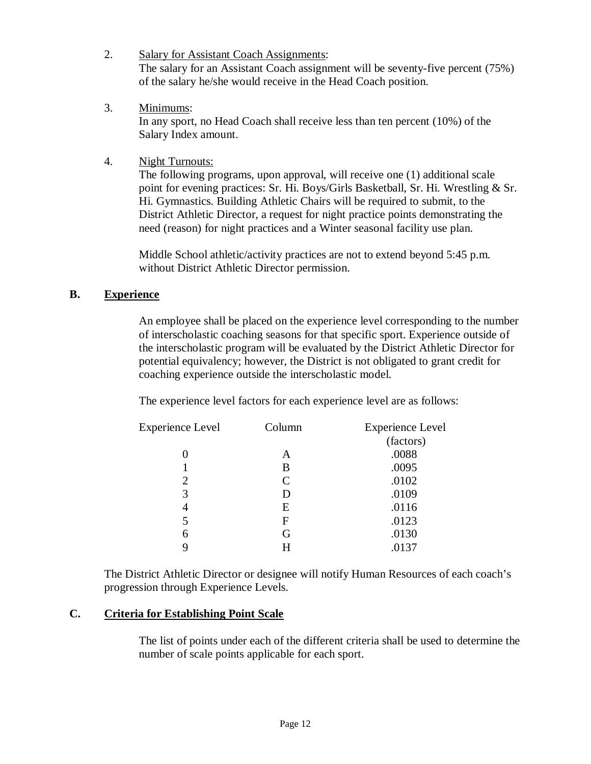- 2. Salary for Assistant Coach Assignments: The salary for an Assistant Coach assignment will be seventy-five percent (75%) of the salary he/she would receive in the Head Coach position.
- 3. Minimums: In any sport, no Head Coach shall receive less than ten percent (10%) of the Salary Index amount.
- 4. Night Turnouts:

The following programs, upon approval, will receive one (1) additional scale point for evening practices: Sr. Hi. Boys/Girls Basketball, Sr. Hi. Wrestling & Sr. Hi. Gymnastics. Building Athletic Chairs will be required to submit, to the District Athletic Director, a request for night practice points demonstrating the need (reason) for night practices and a Winter seasonal facility use plan.

Middle School athletic/activity practices are not to extend beyond 5:45 p.m. without District Athletic Director permission.

## **B. Experience**

An employee shall be placed on the experience level corresponding to the number of interscholastic coaching seasons for that specific sport. Experience outside of the interscholastic program will be evaluated by the District Athletic Director for potential equivalency; however, the District is not obligated to grant credit for coaching experience outside the interscholastic model.

The experience level factors for each experience level are as follows:

| <b>Experience Level</b> | Column | <b>Experience Level</b> |
|-------------------------|--------|-------------------------|
|                         |        | (factors)               |
|                         | A      | .0088                   |
|                         | B      | .0095                   |
| 2                       | C      | .0102                   |
| 3                       | D      | .0109                   |
| 4                       | E      | .0116                   |
| 5                       | F      | .0123                   |
| 6                       | G      | .0130                   |
|                         | Н      | .0137                   |

The District Athletic Director or designee will notify Human Resources of each coach's progression through Experience Levels.

## **C. Criteria for Establishing Point Scale**

The list of points under each of the different criteria shall be used to determine the number of scale points applicable for each sport.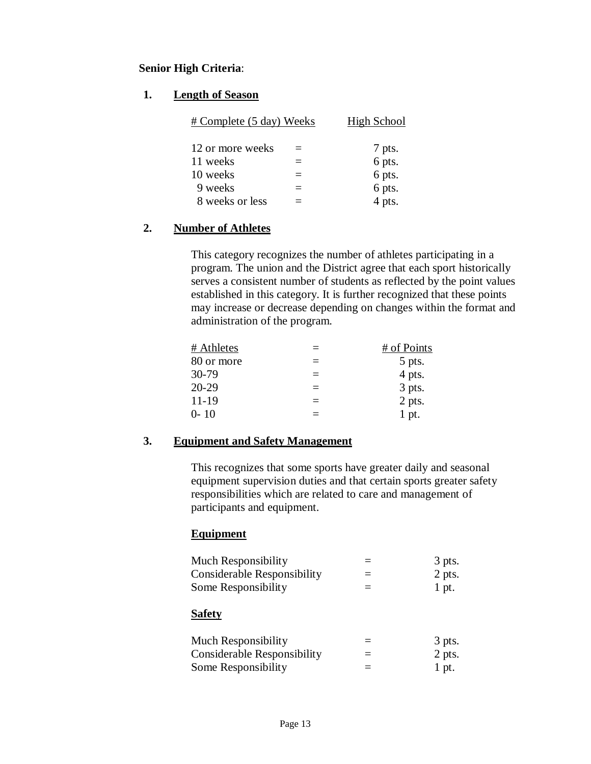## **Senior High Criteria**:

#### **1. Length of Season**

| # Complete (5 day) Weeks | High School |
|--------------------------|-------------|
| 12 or more weeks         | 7 pts.      |
| 11 weeks                 | 6 pts.      |
| 10 weeks                 | 6 pts.      |
| 9 weeks                  | 6 pts.      |
| 8 weeks or less          | 4 pts.      |

## **2. Number of Athletes**

This category recognizes the number of athletes participating in a program. The union and the District agree that each sport historically serves a consistent number of students as reflected by the point values established in this category. It is further recognized that these points may increase or decrease depending on changes within the format and administration of the program.

| $\equiv$ | # of Points |
|----------|-------------|
| $=$      | 5 pts.      |
| $=$      | 4 pts.      |
| $\equiv$ | 3 pts.      |
| $=$      | 2 pts.      |
| =        | $1$ pt.     |
|          |             |

#### **3. Equipment and Safety Management**

This recognizes that some sports have greater daily and seasonal equipment supervision duties and that certain sports greater safety responsibilities which are related to care and management of participants and equipment.

## **Equipment**

| <b>Much Responsibility</b><br><b>Considerable Responsibility</b><br>Some Responsibility |                      | 3 pts.<br>2 pts.<br>1 pt. |
|-----------------------------------------------------------------------------------------|----------------------|---------------------------|
| <b>Safety</b>                                                                           |                      |                           |
| <b>Much Responsibility</b><br>Considerable Responsibility<br>Some Responsibility        | $\equiv$<br>$\equiv$ | 3 pts.<br>2 pts.<br>1 pt. |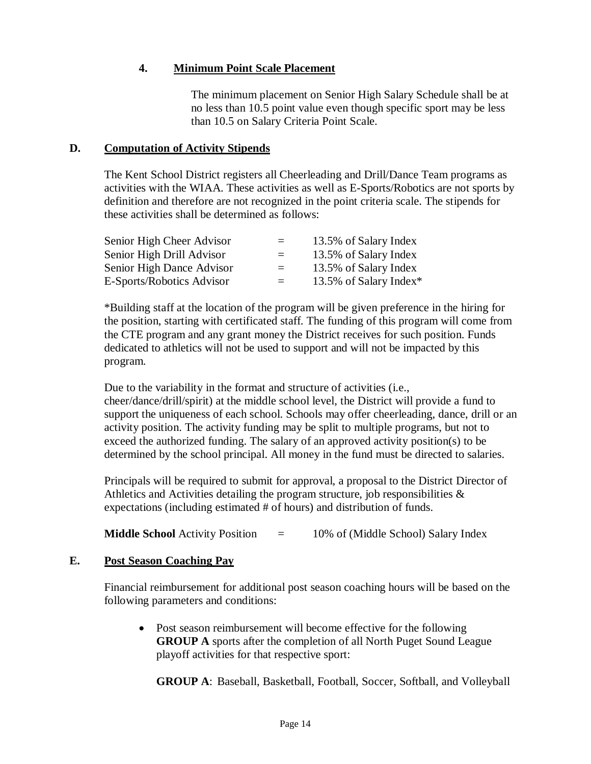## **4. Minimum Point Scale Placement**

The minimum placement on Senior High Salary Schedule shall be at no less than 10.5 point value even though specific sport may be less than 10.5 on Salary Criteria Point Scale.

#### **D. Computation of Activity Stipends**

The Kent School District registers all Cheerleading and Drill/Dance Team programs as activities with the WIAA. These activities as well as E-Sports/Robotics are not sports by definition and therefore are not recognized in the point criteria scale. The stipends for these activities shall be determined as follows:

| Senior High Cheer Advisor | $=$ | 13.5% of Salary Index  |
|---------------------------|-----|------------------------|
| Senior High Drill Advisor | $=$ | 13.5% of Salary Index  |
| Senior High Dance Advisor | $=$ | 13.5% of Salary Index  |
| E-Sports/Robotics Advisor | $=$ | 13.5% of Salary Index* |

\*Building staff at the location of the program will be given preference in the hiring for the position, starting with certificated staff. The funding of this program will come from the CTE program and any grant money the District receives for such position. Funds dedicated to athletics will not be used to support and will not be impacted by this program.

Due to the variability in the format and structure of activities (i.e., cheer/dance/drill/spirit) at the middle school level, the District will provide a fund to support the uniqueness of each school. Schools may offer cheerleading, dance, drill or an activity position. The activity funding may be split to multiple programs, but not to exceed the authorized funding. The salary of an approved activity position(s) to be determined by the school principal. All money in the fund must be directed to salaries.

Principals will be required to submit for approval, a proposal to the District Director of Athletics and Activities detailing the program structure, job responsibilities  $\&$ expectations (including estimated # of hours) and distribution of funds.

**Middle School** Activity Position  $=$  10% of (Middle School) Salary Index

## **E. Post Season Coaching Pay**

Financial reimbursement for additional post season coaching hours will be based on the following parameters and conditions:

• Post season reimbursement will become effective for the following **GROUP A** sports after the completion of all North Puget Sound League playoff activities for that respective sport:

**GROUP A**: Baseball, Basketball, Football, Soccer, Softball, and Volleyball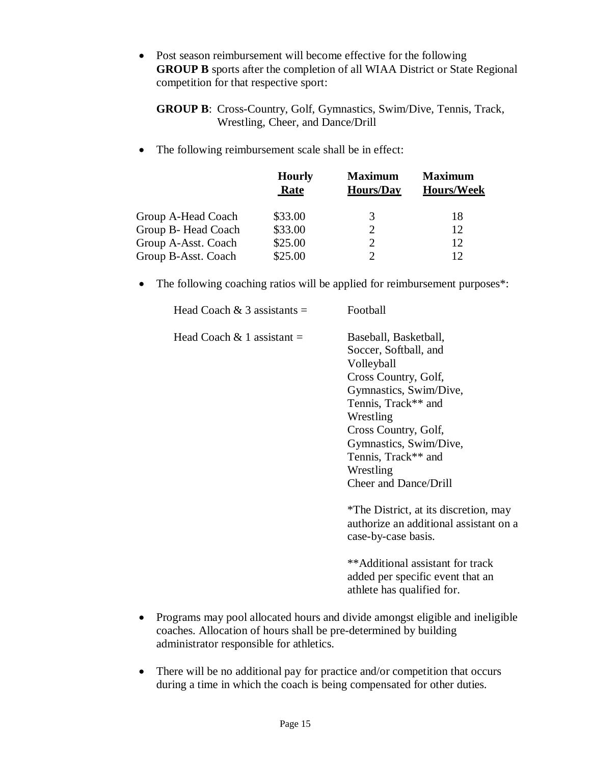• Post season reimbursement will become effective for the following **GROUP B** sports after the completion of all WIAA District or State Regional competition for that respective sport:

**GROUP B**: Cross-Country, Golf, Gymnastics, Swim/Dive, Tennis, Track, Wrestling, Cheer, and Dance/Drill

The following reimbursement scale shall be in effect:

|                     | <b>Hourly</b><br>Rate | <b>Maximum</b><br><b>Hours/Day</b> | <b>Maximum</b><br><b>Hours/Week</b> |
|---------------------|-----------------------|------------------------------------|-------------------------------------|
| Group A-Head Coach  | \$33.00               | 3                                  | 18                                  |
| Group B-Head Coach  | \$33.00               |                                    | 12                                  |
| Group A-Asst. Coach | \$25.00               |                                    | 12                                  |
| Group B-Asst. Coach | \$25.00               |                                    | 12                                  |

• The following coaching ratios will be applied for reimbursement purposes\*:

| Head Coach & 3 assistants $=$ | Football                                                                                                                                                                                                                                                                 |
|-------------------------------|--------------------------------------------------------------------------------------------------------------------------------------------------------------------------------------------------------------------------------------------------------------------------|
| Head Coach $\&$ 1 assistant = | Baseball, Basketball,<br>Soccer, Softball, and<br>Volleyball<br>Cross Country, Golf,<br>Gymnastics, Swim/Dive,<br>Tennis, Track** and<br>Wrestling<br>Cross Country, Golf,<br>Gymnastics, Swim/Dive,<br>Tennis, Track** and<br>Wrestling<br><b>Cheer and Dance/Drill</b> |
|                               | *The District, at its discretion, may<br>authorize an additional assistant on a<br>case-by-case basis.                                                                                                                                                                   |
|                               | **Additional assistant for track<br>added per specific event that an                                                                                                                                                                                                     |

• Programs may pool allocated hours and divide amongst eligible and ineligible coaches. Allocation of hours shall be pre-determined by building administrator responsible for athletics.

athlete has qualified for.

• There will be no additional pay for practice and/or competition that occurs during a time in which the coach is being compensated for other duties.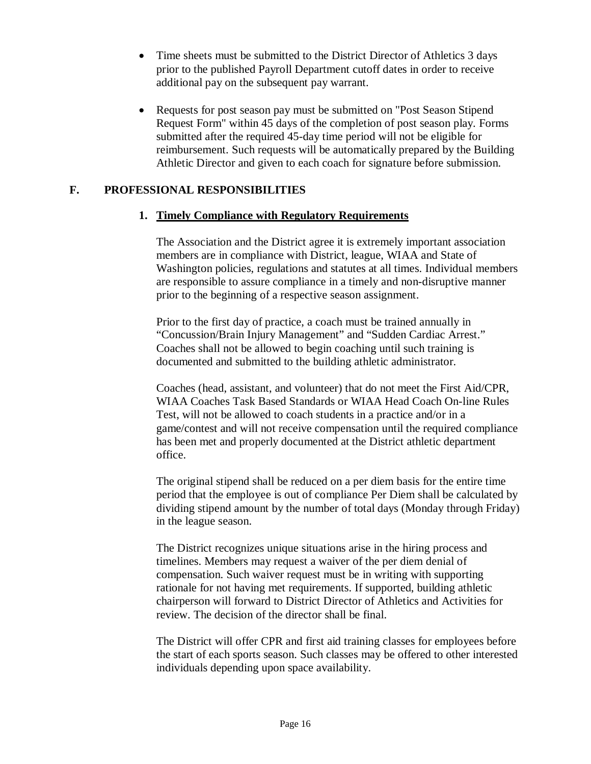- Time sheets must be submitted to the District Director of Athletics 3 days prior to the published Payroll Department cutoff dates in order to receive additional pay on the subsequent pay warrant.
- Requests for post season pay must be submitted on "Post Season Stipend" Request Form" within 45 days of the completion of post season play. Forms submitted after the required 45-day time period will not be eligible for reimbursement. Such requests will be automatically prepared by the Building Athletic Director and given to each coach for signature before submission.

#### **F. PROFESSIONAL RESPONSIBILITIES**

#### **1. Timely Compliance with Regulatory Requirements**

The Association and the District agree it is extremely important association members are in compliance with District, league, WIAA and State of Washington policies, regulations and statutes at all times. Individual members are responsible to assure compliance in a timely and non-disruptive manner prior to the beginning of a respective season assignment.

Prior to the first day of practice, a coach must be trained annually in "Concussion/Brain Injury Management" and "Sudden Cardiac Arrest." Coaches shall not be allowed to begin coaching until such training is documented and submitted to the building athletic administrator.

Coaches (head, assistant, and volunteer) that do not meet the First Aid/CPR, WIAA Coaches Task Based Standards or WIAA Head Coach On-line Rules Test, will not be allowed to coach students in a practice and/or in a game/contest and will not receive compensation until the required compliance has been met and properly documented at the District athletic department office.

The original stipend shall be reduced on a per diem basis for the entire time period that the employee is out of compliance Per Diem shall be calculated by dividing stipend amount by the number of total days (Monday through Friday) in the league season.

The District recognizes unique situations arise in the hiring process and timelines. Members may request a waiver of the per diem denial of compensation. Such waiver request must be in writing with supporting rationale for not having met requirements. If supported, building athletic chairperson will forward to District Director of Athletics and Activities for review. The decision of the director shall be final.

The District will offer CPR and first aid training classes for employees before the start of each sports season. Such classes may be offered to other interested individuals depending upon space availability.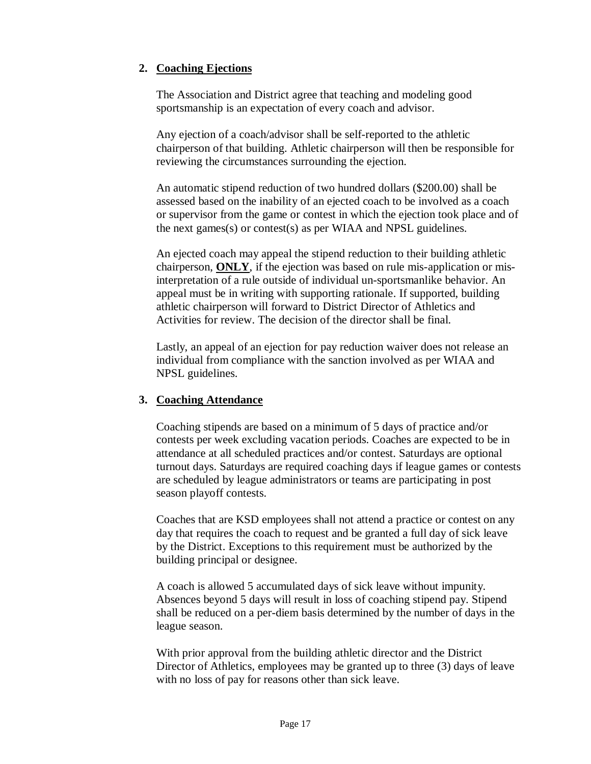## **2. Coaching Ejections**

The Association and District agree that teaching and modeling good sportsmanship is an expectation of every coach and advisor.

Any ejection of a coach/advisor shall be self-reported to the athletic chairperson of that building. Athletic chairperson will then be responsible for reviewing the circumstances surrounding the ejection.

An automatic stipend reduction of two hundred dollars (\$200.00) shall be assessed based on the inability of an ejected coach to be involved as a coach or supervisor from the game or contest in which the ejection took place and of the next games(s) or contest(s) as per WIAA and NPSL guidelines.

An ejected coach may appeal the stipend reduction to their building athletic chairperson, **ONLY**, if the ejection was based on rule mis-application or misinterpretation of a rule outside of individual un-sportsmanlike behavior. An appeal must be in writing with supporting rationale. If supported, building athletic chairperson will forward to District Director of Athletics and Activities for review. The decision of the director shall be final.

Lastly, an appeal of an ejection for pay reduction waiver does not release an individual from compliance with the sanction involved as per WIAA and NPSL guidelines.

## **3. Coaching Attendance**

Coaching stipends are based on a minimum of 5 days of practice and/or contests per week excluding vacation periods. Coaches are expected to be in attendance at all scheduled practices and/or contest. Saturdays are optional turnout days. Saturdays are required coaching days if league games or contests are scheduled by league administrators or teams are participating in post season playoff contests.

Coaches that are KSD employees shall not attend a practice or contest on any day that requires the coach to request and be granted a full day of sick leave by the District. Exceptions to this requirement must be authorized by the building principal or designee.

A coach is allowed 5 accumulated days of sick leave without impunity. Absences beyond 5 days will result in loss of coaching stipend pay. Stipend shall be reduced on a per-diem basis determined by the number of days in the league season.

With prior approval from the building athletic director and the District Director of Athletics, employees may be granted up to three (3) days of leave with no loss of pay for reasons other than sick leave.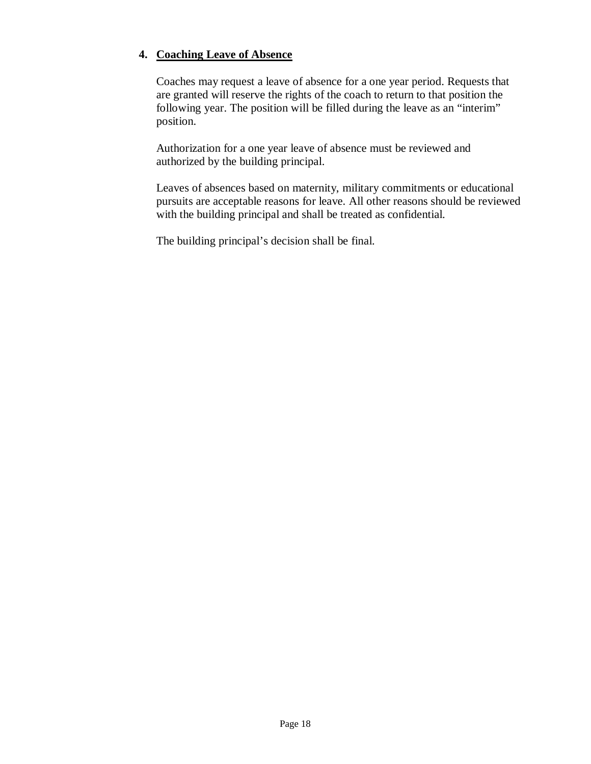## **4. Coaching Leave of Absence**

Coaches may request a leave of absence for a one year period. Requests that are granted will reserve the rights of the coach to return to that position the following year. The position will be filled during the leave as an "interim" position.

Authorization for a one year leave of absence must be reviewed and authorized by the building principal.

Leaves of absences based on maternity, military commitments or educational pursuits are acceptable reasons for leave. All other reasons should be reviewed with the building principal and shall be treated as confidential.

The building principal's decision shall be final.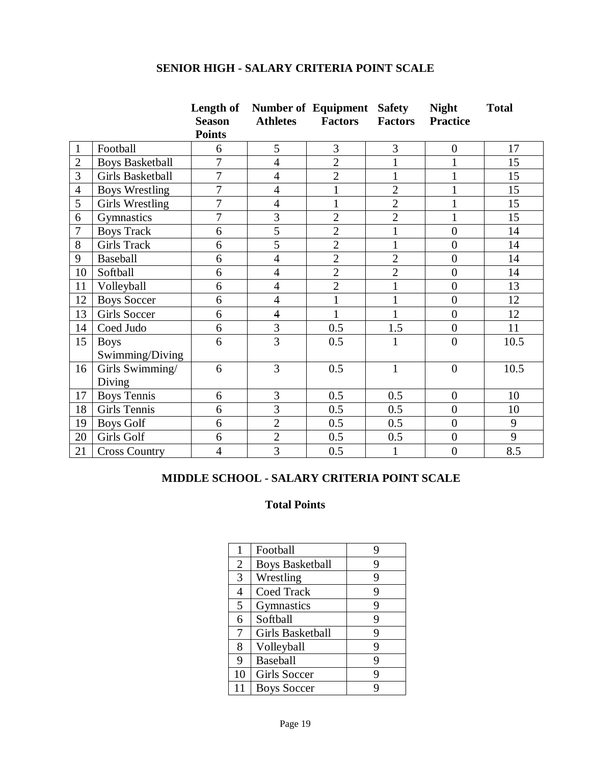## **SENIOR HIGH - SALARY CRITERIA POINT SCALE**

|                |                        | Length of      |                         | <b>Number of Equipment</b> | <b>Safety</b>  | <b>Night</b>     | <b>Total</b> |
|----------------|------------------------|----------------|-------------------------|----------------------------|----------------|------------------|--------------|
|                |                        | <b>Season</b>  | <b>Athletes</b>         | <b>Factors</b>             | <b>Factors</b> | <b>Practice</b>  |              |
|                |                        | <b>Points</b>  |                         |                            |                |                  |              |
| $\mathbf{1}$   | Football               | 6              | 5                       | 3                          | 3              | $\overline{0}$   | 17           |
| $\overline{2}$ | <b>Boys Basketball</b> | $\overline{7}$ | $\overline{4}$          | $\overline{2}$             |                | $\mathbf{1}$     | 15           |
| 3              | Girls Basketball       | $\overline{7}$ | $\overline{4}$          | $\overline{2}$             | $\mathbf{1}$   | $\mathbf{1}$     | 15           |
| $\overline{4}$ | <b>Boys Wrestling</b>  | 7              | $\overline{4}$          | $\mathbf{1}$               | $\overline{2}$ | $\mathbf{1}$     | 15           |
| 5              | <b>Girls Wrestling</b> | $\overline{7}$ | $\overline{4}$          | $\mathbf 1$                | $\overline{2}$ | $\mathbf{1}$     | 15           |
| 6              | Gymnastics             | $\overline{7}$ | 3                       | $\overline{2}$             | $\overline{2}$ | $\mathbf{1}$     | 15           |
| $\overline{7}$ | <b>Boys Track</b>      | 6              | $\overline{5}$          | $\overline{2}$             | $\mathbf{1}$   | $\overline{0}$   | 14           |
| 8              | <b>Girls Track</b>     | 6              | 5                       | $\overline{2}$             | $\mathbf{1}$   | $\overline{0}$   | 14           |
| 9              | Baseball               | 6              | $\overline{4}$          | $\overline{2}$             | $\overline{2}$ | $\overline{0}$   | 14           |
| 10             | Softball               | 6              | $\overline{4}$          | $\overline{2}$             | $\overline{2}$ | $\boldsymbol{0}$ | 14           |
| 11             | Volleyball             | 6              | $\overline{4}$          | $\overline{2}$             | $\mathbf{1}$   | $\overline{0}$   | 13           |
| 12             | <b>Boys Soccer</b>     | 6              | $\overline{4}$          | 1                          | $\mathbf{1}$   | $\overline{0}$   | 12           |
| 13             | <b>Girls Soccer</b>    | 6              | $\overline{\mathbf{4}}$ | $\mathbf{1}$               |                | $\overline{0}$   | 12           |
| 14             | Coed Judo              | 6              | 3                       | 0.5                        | 1.5            | $\overline{0}$   | 11           |
| 15             | <b>Boys</b>            | 6              | $\overline{3}$          | 0.5                        | $\mathbf{1}$   | $\overline{0}$   | 10.5         |
|                | Swimming/Diving        |                |                         |                            |                |                  |              |
| 16             | Girls Swimming/        | 6              | 3                       | 0.5                        | $\mathbf{1}$   | $\overline{0}$   | 10.5         |
|                | Diving                 |                |                         |                            |                |                  |              |
| 17             | <b>Boys Tennis</b>     | 6              | 3                       | 0.5                        | 0.5            | $\boldsymbol{0}$ | 10           |
| 18             | <b>Girls Tennis</b>    | 6              | 3                       | 0.5                        | 0.5            | $\overline{0}$   | 10           |
| 19             | <b>Boys Golf</b>       | 6              | $\overline{2}$          | 0.5                        | 0.5            | $\overline{0}$   | 9            |
| 20             | Girls Golf             | 6              | $\overline{2}$          | 0.5                        | 0.5            | $\boldsymbol{0}$ | 9            |
| 21             | <b>Cross Country</b>   | $\overline{4}$ | $\overline{3}$          | 0.5                        | $\mathbf{1}$   | $\boldsymbol{0}$ | 8.5          |

## **MIDDLE SCHOOL - SALARY CRITERIA POINT SCALE**

## **Total Points**

| 1              | Football               |   |
|----------------|------------------------|---|
| $\overline{2}$ | <b>Boys Basketball</b> | 9 |
| 3              | Wrestling              | 9 |
| 4              | <b>Coed Track</b>      | 9 |
| 5              | Gymnastics             | 9 |
| 6              | Softball               | 9 |
| 7              | Girls Basketball       | 9 |
| 8              | Volleyball             | 9 |
| 9              | Baseball               | 9 |
| 10             | <b>Girls Soccer</b>    | 9 |
| 11             | <b>Boys Soccer</b>     |   |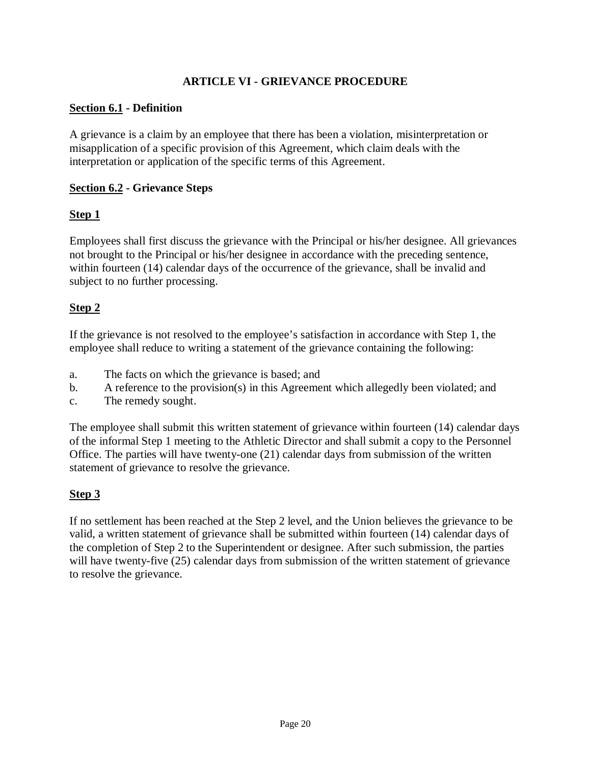## **ARTICLE VI - GRIEVANCE PROCEDURE**

#### <span id="page-20-0"></span>**Section 6.1 - Definition**

A grievance is a claim by an employee that there has been a violation, misinterpretation or misapplication of a specific provision of this Agreement, which claim deals with the interpretation or application of the specific terms of this Agreement.

## **Section 6.2 - Grievance Steps**

## **Step 1**

Employees shall first discuss the grievance with the Principal or his/her designee. All grievances not brought to the Principal or his/her designee in accordance with the preceding sentence, within fourteen (14) calendar days of the occurrence of the grievance, shall be invalid and subject to no further processing.

## **Step 2**

If the grievance is not resolved to the employee's satisfaction in accordance with Step 1, the employee shall reduce to writing a statement of the grievance containing the following:

- a. The facts on which the grievance is based; and
- b. A reference to the provision(s) in this Agreement which allegedly been violated; and
- c. The remedy sought.

The employee shall submit this written statement of grievance within fourteen (14) calendar days of the informal Step 1 meeting to the Athletic Director and shall submit a copy to the Personnel Office. The parties will have twenty-one (21) calendar days from submission of the written statement of grievance to resolve the grievance.

## **Step 3**

If no settlement has been reached at the Step 2 level, and the Union believes the grievance to be valid, a written statement of grievance shall be submitted within fourteen (14) calendar days of the completion of Step 2 to the Superintendent or designee. After such submission, the parties will have twenty-five (25) calendar days from submission of the written statement of grievance to resolve the grievance.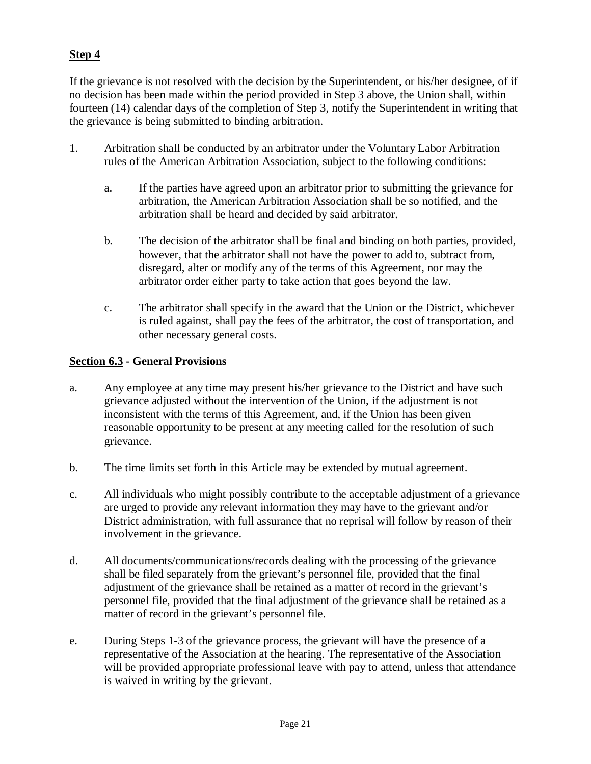## **Step 4**

If the grievance is not resolved with the decision by the Superintendent, or his/her designee, of if no decision has been made within the period provided in Step 3 above, the Union shall, within fourteen (14) calendar days of the completion of Step 3, notify the Superintendent in writing that the grievance is being submitted to binding arbitration.

- 1. Arbitration shall be conducted by an arbitrator under the Voluntary Labor Arbitration rules of the American Arbitration Association, subject to the following conditions:
	- a. If the parties have agreed upon an arbitrator prior to submitting the grievance for arbitration, the American Arbitration Association shall be so notified, and the arbitration shall be heard and decided by said arbitrator.
	- b. The decision of the arbitrator shall be final and binding on both parties, provided, however, that the arbitrator shall not have the power to add to, subtract from, disregard, alter or modify any of the terms of this Agreement, nor may the arbitrator order either party to take action that goes beyond the law.
	- c. The arbitrator shall specify in the award that the Union or the District, whichever is ruled against, shall pay the fees of the arbitrator, the cost of transportation, and other necessary general costs.

#### **Section 6.3 - General Provisions**

- a. Any employee at any time may present his/her grievance to the District and have such grievance adjusted without the intervention of the Union, if the adjustment is not inconsistent with the terms of this Agreement, and, if the Union has been given reasonable opportunity to be present at any meeting called for the resolution of such grievance.
- b. The time limits set forth in this Article may be extended by mutual agreement.
- c. All individuals who might possibly contribute to the acceptable adjustment of a grievance are urged to provide any relevant information they may have to the grievant and/or District administration, with full assurance that no reprisal will follow by reason of their involvement in the grievance.
- d. All documents/communications/records dealing with the processing of the grievance shall be filed separately from the grievant's personnel file, provided that the final adjustment of the grievance shall be retained as a matter of record in the grievant's personnel file, provided that the final adjustment of the grievance shall be retained as a matter of record in the grievant's personnel file.
- e. During Steps 1-3 of the grievance process, the grievant will have the presence of a representative of the Association at the hearing. The representative of the Association will be provided appropriate professional leave with pay to attend, unless that attendance is waived in writing by the grievant.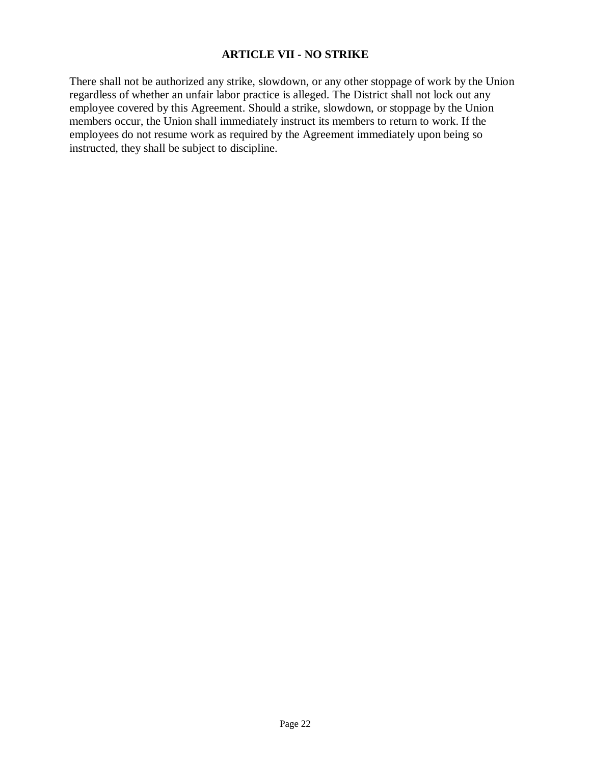#### **ARTICLE VII - NO STRIKE**

<span id="page-22-0"></span>There shall not be authorized any strike, slowdown, or any other stoppage of work by the Union regardless of whether an unfair labor practice is alleged. The District shall not lock out any employee covered by this Agreement. Should a strike, slowdown, or stoppage by the Union members occur, the Union shall immediately instruct its members to return to work. If the employees do not resume work as required by the Agreement immediately upon being so instructed, they shall be subject to discipline.